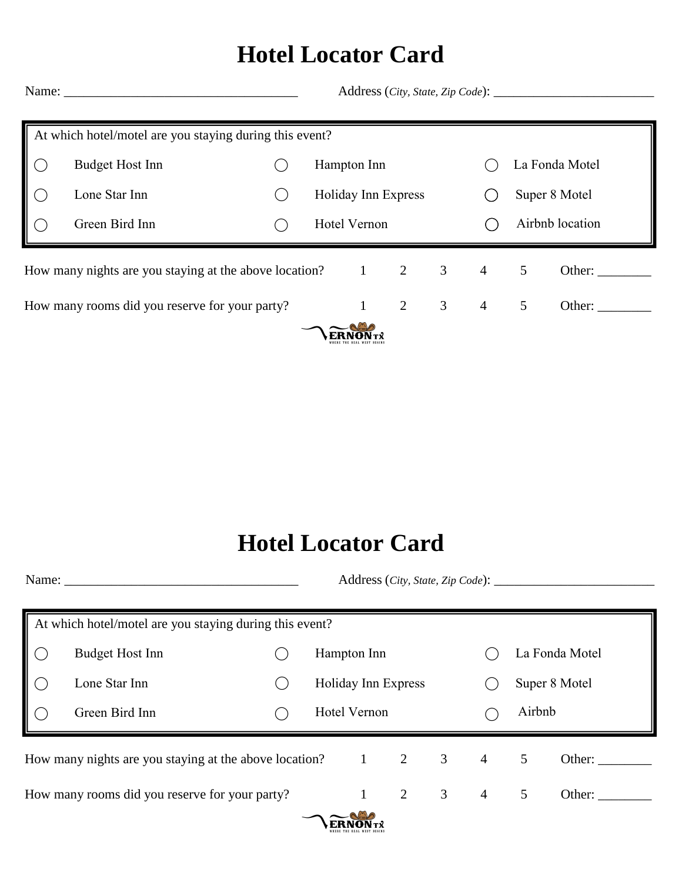## **Hotel Locator Card**

Name: \_\_\_\_\_\_\_\_\_\_\_\_\_\_\_\_\_\_\_\_\_\_\_\_\_\_\_\_\_\_\_\_\_\_\_ Address (*City, State, Zip Code*): \_\_\_\_\_\_\_\_\_\_\_\_\_\_\_\_\_\_\_\_\_\_\_\_

| At which hotel/motel are you staying during this event?                                                                          |                        |  |                     |  |  |                 |                |
|----------------------------------------------------------------------------------------------------------------------------------|------------------------|--|---------------------|--|--|-----------------|----------------|
| $\left(\begin{array}{c} \end{array}\right)$                                                                                      | <b>Budget Host Inn</b> |  | Hampton Inn         |  |  |                 | La Fonda Motel |
| $\left(\begin{array}{c} \end{array}\right)$                                                                                      | Lone Star Inn          |  | Holiday Inn Express |  |  |                 | Super 8 Motel  |
|                                                                                                                                  | Green Bird Inn         |  | Hotel Vernon        |  |  | Airbnb location |                |
| 2<br>$\overline{3}$<br>How many nights are you staying at the above location?<br>$\overline{1}$<br>$\overline{4}$<br>5<br>Other: |                        |  |                     |  |  |                 |                |
| 2<br>3 <sup>7</sup><br>5<br>How many rooms did you reserve for your party?<br>$\mathbf{1}$<br>$\overline{4}$<br>Other:           |                        |  |                     |  |  |                 |                |
|                                                                                                                                  |                        |  |                     |  |  |                 |                |

## **Hotel Locator Card**

Name: \_\_\_\_\_\_\_\_\_\_\_\_\_\_\_\_\_\_\_\_\_\_\_\_\_\_\_\_\_\_\_\_\_\_\_ Address (*City, State, Zip Code*): \_\_\_\_\_\_\_\_\_\_\_\_\_\_\_\_\_\_\_\_\_\_\_\_ At which hotel/motel are you staying during this event?  $\bigcirc$  $\bigcirc$ Lone Star Inn Green Bird Inn  $\bigcap$ Hotel Vernon

La Fonda Motel ⃝ ⃝ Hampton Inn ⃝ Budget Host Inn Super 8 Motel $\bigcirc$  Holiday Inn Express  $\bigcirc$ Airbnb  $\bigcap$ How many nights are you staying at the above location?  $1 \t 2 \t 3 \t 4 \t 5$ Other: \_\_\_\_\_\_\_\_ How many rooms did you reserve for your party? 1 2 3 4 5 Other: **ERNON**TX